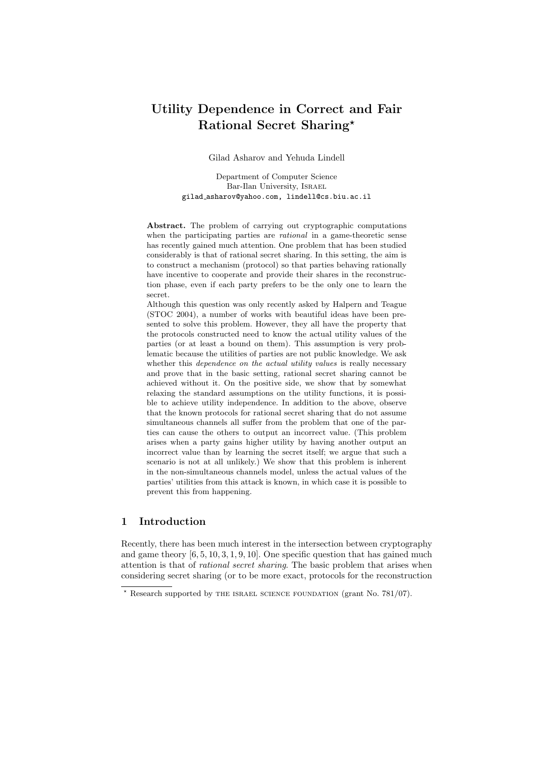# Utility Dependence in Correct and Fair Rational Secret Sharing?

Gilad Asharov and Yehuda Lindell

Department of Computer Science Bar-Ilan University, ISRAEL gilad asharov@yahoo.com, lindell@cs.biu.ac.il

Abstract. The problem of carrying out cryptographic computations when the participating parties are *rational* in a game-theoretic sense has recently gained much attention. One problem that has been studied considerably is that of rational secret sharing. In this setting, the aim is to construct a mechanism (protocol) so that parties behaving rationally have incentive to cooperate and provide their shares in the reconstruction phase, even if each party prefers to be the only one to learn the secret.

Although this question was only recently asked by Halpern and Teague (STOC 2004), a number of works with beautiful ideas have been presented to solve this problem. However, they all have the property that the protocols constructed need to know the actual utility values of the parties (or at least a bound on them). This assumption is very problematic because the utilities of parties are not public knowledge. We ask whether this *dependence on the actual utility values* is really necessary and prove that in the basic setting, rational secret sharing cannot be achieved without it. On the positive side, we show that by somewhat relaxing the standard assumptions on the utility functions, it is possible to achieve utility independence. In addition to the above, observe that the known protocols for rational secret sharing that do not assume simultaneous channels all suffer from the problem that one of the parties can cause the others to output an incorrect value. (This problem arises when a party gains higher utility by having another output an incorrect value than by learning the secret itself; we argue that such a scenario is not at all unlikely.) We show that this problem is inherent in the non-simultaneous channels model, unless the actual values of the parties' utilities from this attack is known, in which case it is possible to prevent this from happening.

## 1 Introduction

Recently, there has been much interest in the intersection between cryptography and game theory  $[6, 5, 10, 3, 1, 9, 10]$ . One specific question that has gained much attention is that of rational secret sharing. The basic problem that arises when considering secret sharing (or to be more exact, protocols for the reconstruction

 $*$  Research supported by THE ISRAEL SCIENCE FOUNDATION (grant No. 781/07).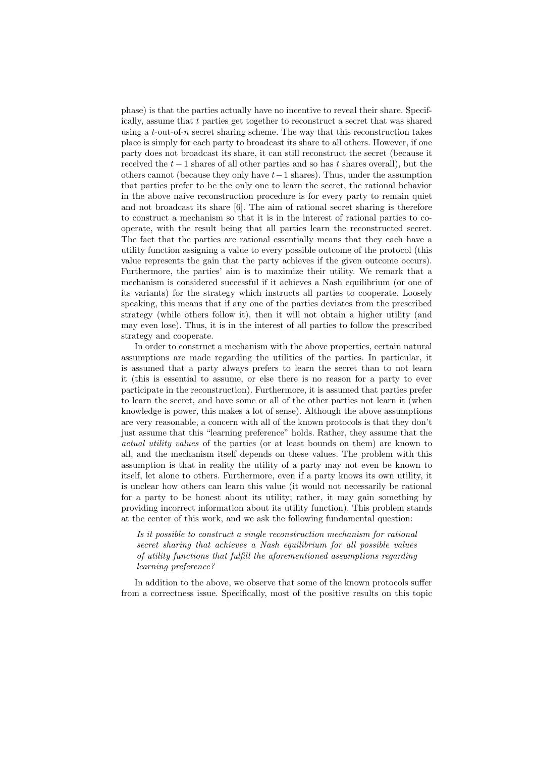phase) is that the parties actually have no incentive to reveal their share. Specifically, assume that t parties get together to reconstruct a secret that was shared using a  $t$ -out-of-n secret sharing scheme. The way that this reconstruction takes place is simply for each party to broadcast its share to all others. However, if one party does not broadcast its share, it can still reconstruct the secret (because it received the  $t-1$  shares of all other parties and so has t shares overall), but the others cannot (because they only have  $t-1$  shares). Thus, under the assumption that parties prefer to be the only one to learn the secret, the rational behavior in the above naive reconstruction procedure is for every party to remain quiet and not broadcast its share [6]. The aim of rational secret sharing is therefore to construct a mechanism so that it is in the interest of rational parties to cooperate, with the result being that all parties learn the reconstructed secret. The fact that the parties are rational essentially means that they each have a utility function assigning a value to every possible outcome of the protocol (this value represents the gain that the party achieves if the given outcome occurs). Furthermore, the parties' aim is to maximize their utility. We remark that a mechanism is considered successful if it achieves a Nash equilibrium (or one of its variants) for the strategy which instructs all parties to cooperate. Loosely speaking, this means that if any one of the parties deviates from the prescribed strategy (while others follow it), then it will not obtain a higher utility (and may even lose). Thus, it is in the interest of all parties to follow the prescribed strategy and cooperate.

In order to construct a mechanism with the above properties, certain natural assumptions are made regarding the utilities of the parties. In particular, it is assumed that a party always prefers to learn the secret than to not learn it (this is essential to assume, or else there is no reason for a party to ever participate in the reconstruction). Furthermore, it is assumed that parties prefer to learn the secret, and have some or all of the other parties not learn it (when knowledge is power, this makes a lot of sense). Although the above assumptions are very reasonable, a concern with all of the known protocols is that they don't just assume that this "learning preference" holds. Rather, they assume that the actual utility values of the parties (or at least bounds on them) are known to all, and the mechanism itself depends on these values. The problem with this assumption is that in reality the utility of a party may not even be known to itself, let alone to others. Furthermore, even if a party knows its own utility, it is unclear how others can learn this value (it would not necessarily be rational for a party to be honest about its utility; rather, it may gain something by providing incorrect information about its utility function). This problem stands at the center of this work, and we ask the following fundamental question:

Is it possible to construct a single reconstruction mechanism for rational secret sharing that achieves a Nash equilibrium for all possible values of utility functions that fulfill the aforementioned assumptions regarding learning preference?

In addition to the above, we observe that some of the known protocols suffer from a correctness issue. Specifically, most of the positive results on this topic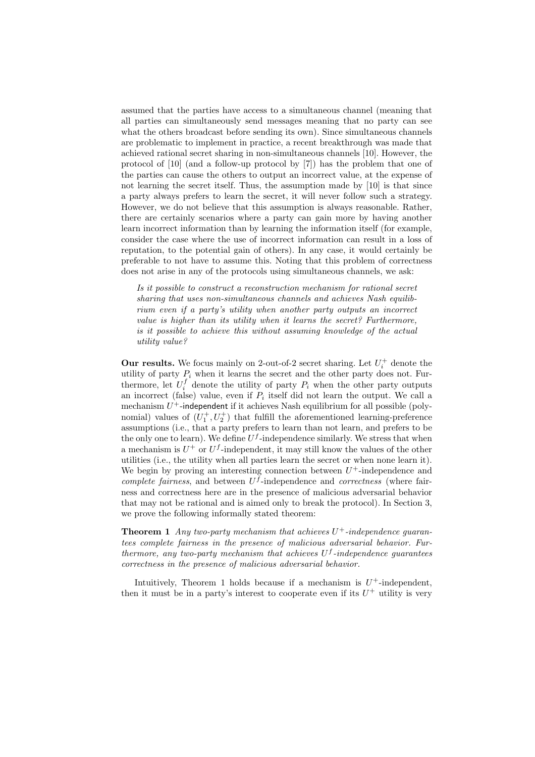assumed that the parties have access to a simultaneous channel (meaning that all parties can simultaneously send messages meaning that no party can see what the others broadcast before sending its own). Since simultaneous channels are problematic to implement in practice, a recent breakthrough was made that achieved rational secret sharing in non-simultaneous channels [10]. However, the protocol of [10] (and a follow-up protocol by [7]) has the problem that one of the parties can cause the others to output an incorrect value, at the expense of not learning the secret itself. Thus, the assumption made by [10] is that since a party always prefers to learn the secret, it will never follow such a strategy. However, we do not believe that this assumption is always reasonable. Rather, there are certainly scenarios where a party can gain more by having another learn incorrect information than by learning the information itself (for example, consider the case where the use of incorrect information can result in a loss of reputation, to the potential gain of others). In any case, it would certainly be preferable to not have to assume this. Noting that this problem of correctness does not arise in any of the protocols using simultaneous channels, we ask:

Is it possible to construct a reconstruction mechanism for rational secret sharing that uses non-simultaneous channels and achieves Nash equilibrium even if a party's utility when another party outputs an incorrect value is higher than its utility when it learns the secret? Furthermore, is it possible to achieve this without assuming knowledge of the actual utility value?

**Our results.** We focus mainly on 2-out-of-2 secret sharing. Let  $U_i^+$  denote the utility of party  $P_i$  when it learns the secret and the other party does not. Furthermore, let  $U_i^f$  denote the utility of party  $P_i$  when the other party outputs an incorrect (false) value, even if  $P_i$  itself did not learn the output. We call a mechanism  $U^+$ -independent if it achieves Nash equilibrium for all possible (polynomial) values of  $(U_1^+, U_2^+)$  that fulfill the aforementioned learning-preference assumptions (i.e., that a party prefers to learn than not learn, and prefers to be the only one to learn). We define  $U^f$ -independence similarly. We stress that when a mechanism is  $U^+$  or  $U^f$ -independent, it may still know the values of the other utilities (i.e., the utility when all parties learn the secret or when none learn it). We begin by proving an interesting connection between  $U^+$ -independence and complete fairness, and between  $U^f$ -independence and correctness (where fairness and correctness here are in the presence of malicious adversarial behavior that may not be rational and is aimed only to break the protocol). In Section 3, we prove the following informally stated theorem:

**Theorem 1** Any two-party mechanism that achieves  $U^+$ -independence guarantees complete fairness in the presence of malicious adversarial behavior. Furthermore, any two-party mechanism that achieves  $U^f$ -independence guarantees correctness in the presence of malicious adversarial behavior.

Intuitively, Theorem 1 holds because if a mechanism is  $U^+$ -independent, then it must be in a party's interest to cooperate even if its  $U^+$  utility is very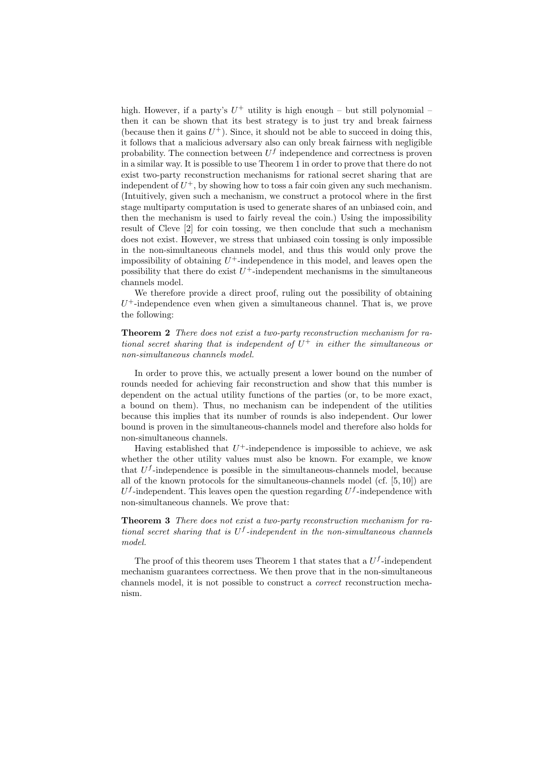high. However, if a party's  $U^+$  utility is high enough – but still polynomial – then it can be shown that its best strategy is to just try and break fairness (because then it gains  $U^+$ ). Since, it should not be able to succeed in doing this, it follows that a malicious adversary also can only break fairness with negligible probability. The connection between  $U<sup>f</sup>$  independence and correctness is proven in a similar way. It is possible to use Theorem 1 in order to prove that there do not exist two-party reconstruction mechanisms for rational secret sharing that are independent of  $U^+$ , by showing how to toss a fair coin given any such mechanism. (Intuitively, given such a mechanism, we construct a protocol where in the first stage multiparty computation is used to generate shares of an unbiased coin, and then the mechanism is used to fairly reveal the coin.) Using the impossibility result of Cleve [2] for coin tossing, we then conclude that such a mechanism does not exist. However, we stress that unbiased coin tossing is only impossible in the non-simultaneous channels model, and thus this would only prove the impossibility of obtaining  $U^+$ -independence in this model, and leaves open the possibility that there do exist  $U^+$ -independent mechanisms in the simultaneous channels model.

We therefore provide a direct proof, ruling out the possibility of obtaining  $U^+$ -independence even when given a simultaneous channel. That is, we prove the following:

Theorem 2 There does not exist a two-party reconstruction mechanism for rational secret sharing that is independent of  $U^+$  in either the simultaneous or non-simultaneous channels model.

In order to prove this, we actually present a lower bound on the number of rounds needed for achieving fair reconstruction and show that this number is dependent on the actual utility functions of the parties (or, to be more exact, a bound on them). Thus, no mechanism can be independent of the utilities because this implies that its number of rounds is also independent. Our lower bound is proven in the simultaneous-channels model and therefore also holds for non-simultaneous channels.

Having established that  $U^+$ -independence is impossible to achieve, we ask whether the other utility values must also be known. For example, we know that  $U^f$ -independence is possible in the simultaneous-channels model, because all of the known protocols for the simultaneous-channels model (cf. [5, 10]) are  $U^f$ -independent. This leaves open the question regarding  $U^f$ -independence with non-simultaneous channels. We prove that:

Theorem 3 There does not exist a two-party reconstruction mechanism for rational secret sharing that is  $U^f$ -independent in the non-simultaneous channels model.

The proof of this theorem uses Theorem 1 that states that a  $U^f$ -independent mechanism guarantees correctness. We then prove that in the non-simultaneous channels model, it is not possible to construct a correct reconstruction mechanism.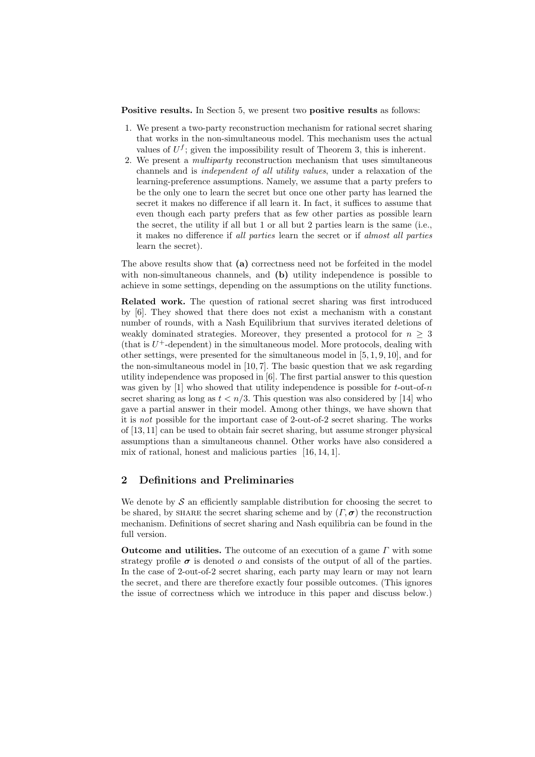#### Positive results. In Section 5, we present two positive results as follows:

- 1. We present a two-party reconstruction mechanism for rational secret sharing that works in the non-simultaneous model. This mechanism uses the actual values of  $U^f$ ; given the impossibility result of Theorem 3, this is inherent.
- 2. We present a multiparty reconstruction mechanism that uses simultaneous channels and is independent of all utility values, under a relaxation of the learning-preference assumptions. Namely, we assume that a party prefers to be the only one to learn the secret but once one other party has learned the secret it makes no difference if all learn it. In fact, it suffices to assume that even though each party prefers that as few other parties as possible learn the secret, the utility if all but 1 or all but 2 parties learn is the same (i.e., it makes no difference if all parties learn the secret or if almost all parties learn the secret).

The above results show that (a) correctness need not be forfeited in the model with non-simultaneous channels, and (b) utility independence is possible to achieve in some settings, depending on the assumptions on the utility functions.

Related work. The question of rational secret sharing was first introduced by [6]. They showed that there does not exist a mechanism with a constant number of rounds, with a Nash Equilibrium that survives iterated deletions of weakly dominated strategies. Moreover, they presented a protocol for  $n \geq 3$  $(\text{that is } U^+$ -dependent) in the simultaneous model. More protocols, dealing with other settings, were presented for the simultaneous model in [5, 1, 9, 10], and for the non-simultaneous model in [10, 7]. The basic question that we ask regarding utility independence was proposed in [6]. The first partial answer to this question was given by [1] who showed that utility independence is possible for  $t$ -out-of-n secret sharing as long as  $t < n/3$ . This question was also considered by [14] who gave a partial answer in their model. Among other things, we have shown that it is not possible for the important case of 2-out-of-2 secret sharing. The works of [13, 11] can be used to obtain fair secret sharing, but assume stronger physical assumptions than a simultaneous channel. Other works have also considered a mix of rational, honest and malicious parties [16, 14, 1].

# 2 Definitions and Preliminaries

We denote by  $\mathcal S$  an efficiently samplable distribution for choosing the secret to be shared, by SHARE the secret sharing scheme and by  $(\Gamma, \sigma)$  the reconstruction mechanism. Definitions of secret sharing and Nash equilibria can be found in the full version.

**Outcome and utilities.** The outcome of an execution of a game  $\Gamma$  with some strategy profile  $\sigma$  is denoted o and consists of the output of all of the parties. In the case of 2-out-of-2 secret sharing, each party may learn or may not learn the secret, and there are therefore exactly four possible outcomes. (This ignores the issue of correctness which we introduce in this paper and discuss below.)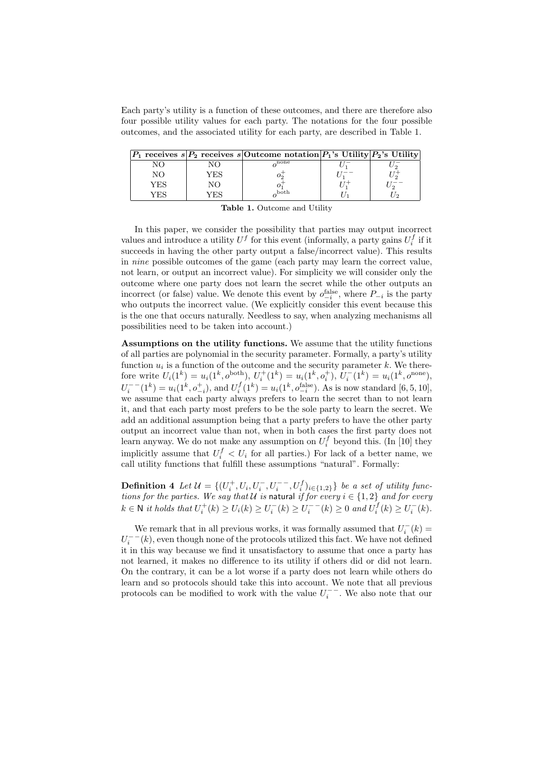Each party's utility is a function of these outcomes, and there are therefore also four possible utility values for each party. The notations for the four possible outcomes, and the associated utility for each party, are described in Table 1.

|      |     | $P_1$ receives $s P_2$ receives $s $ Outcome notation $P_1$ 's Utility $P_2$ 's Utility |  |
|------|-----|-----------------------------------------------------------------------------------------|--|
|      |     | $\sim$ none                                                                             |  |
| NΟ   | YES |                                                                                         |  |
| YES- | JС  |                                                                                         |  |
| ′F.S | YES | both                                                                                    |  |

Table 1. Outcome and Utility

In this paper, we consider the possibility that parties may output incorrect values and introduce a utility  $U^f$  for this event (informally, a party gains  $U_i^f$  if it succeeds in having the other party output a false/incorrect value). This results in nine possible outcomes of the game (each party may learn the correct value, not learn, or output an incorrect value). For simplicity we will consider only the outcome where one party does not learn the secret while the other outputs an incorrect (or false) value. We denote this event by  $o_{-i}^{\text{false}}$ , where  $P_{-i}$  is the party who outputs the incorrect value. (We explicitly consider this event because this is the one that occurs naturally. Needless to say, when analyzing mechanisms all possibilities need to be taken into account.)

Assumptions on the utility functions. We assume that the utility functions of all parties are polynomial in the security parameter. Formally, a party's utility function  $u_i$  is a function of the outcome and the security parameter k. We therefore write  $U_i(1^k) = u_i(1^k, o^{\text{both}}), U_i^+(1^k) = u_i(1^k, o_i^+), U_i^-(1^k) = u_i(1^k, o^{\text{none}}),$  $U_i^ (1^k) = u_i(1^k, o_{-i}^+)$ , and  $U_i^f(1^k) = u_i(1^k, o_{-i}^{\text{false}})$ . As is now standard [6, 5, 10], we assume that each party always prefers to learn the secret than to not learn it, and that each party most prefers to be the sole party to learn the secret. We add an additional assumption being that a party prefers to have the other party output an incorrect value than not, when in both cases the first party does not learn anyway. We do not make any assumption on  $U_i^f$  beyond this. (In [10] they implicitly assume that  $U_i^f U_i$  for all parties.) For lack of a better name, we call utility functions that fulfill these assumptions "natural". Formally:

**Definition 4** Let  $\mathcal{U} = \{ (U_i^+, U_i, U_i^-, U_i^-, U_i^f)_{i \in \{1,2\}} \}$  be a set of utility functions for the parties. We say that U is natural if for every  $i \in \{1,2\}$  and for every  $k \in \mathbb{N}$  it holds that  $U_i^+(k) \ge U_i(k) \ge U_i^-(k) \ge U_i^--(k) \ge 0$  and  $U_i^f(k) \ge U_i^-(k)$ .

We remark that in all previous works, it was formally assumed that  $U_i^-(k)$  =  $U_i^{--}(k)$ , even though none of the protocols utilized this fact. We have not defined it in this way because we find it unsatisfactory to assume that once a party has not learned, it makes no difference to its utility if others did or did not learn. On the contrary, it can be a lot worse if a party does not learn while others do learn and so protocols should take this into account. We note that all previous protocols can be modified to work with the value  $U_i^{--}$ . We also note that our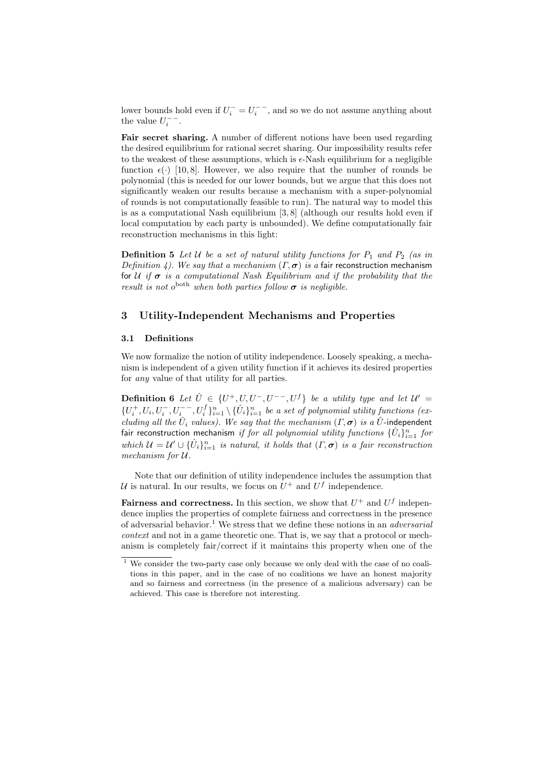lower bounds hold even if  $U_i^- = U_i^{--}$ , and so we do not assume anything about the value  $U_i^{--}$ .

Fair secret sharing. A number of different notions have been used regarding the desired equilibrium for rational secret sharing. Our impossibility results refer to the weakest of these assumptions, which is  $\epsilon$ -Nash equilibrium for a negligible function  $\epsilon$ . [10,8]. However, we also require that the number of rounds be polynomial (this is needed for our lower bounds, but we argue that this does not significantly weaken our results because a mechanism with a super-polynomial of rounds is not computationally feasible to run). The natural way to model this is as a computational Nash equilibrium [3, 8] (although our results hold even if local computation by each party is unbounded). We define computationally fair reconstruction mechanisms in this light:

**Definition 5** Let U be a set of natural utility functions for  $P_1$  and  $P_2$  (as in Definition 4). We say that a mechanism  $(\Gamma, \sigma)$  is a fair reconstruction mechanism for U if  $\sigma$  is a computational Nash Equilibrium and if the probability that the result is not oboth when both parties follow  $\sigma$  is negligible.

#### 3 Utility-Independent Mechanisms and Properties

#### 3.1 Definitions

We now formalize the notion of utility independence. Loosely speaking, a mechanism is independent of a given utility function if it achieves its desired properties for any value of that utility for all parties.

**Definition 6** Let  $\hat{U} \in \{U^+, U, U^-, U^{-}, U^f\}$  be a utility type and let  $\mathcal{U}' =$  $\{U_i^+, U_i, U_i^-, U_i^-\}, \{U_i\}_{i=1}^n \setminus {\{\hat{U}_i\}_{i=1}^n}$  be a set of polynomial utility functions (excluding all the  $\hat{U}_i$  values). We say that the mechanism  $(\Gamma, \sigma)$  is a  $\hat{U}$ -independent fair reconstruction mechanism *if for all polynomial utility functions*  $\{\hat{U}_i\}_{i=1}^n$  *for* which  $\mathcal{U} = \mathcal{U}' \cup \{\hat{U}_i\}_{i=1}^n$  is natural, it holds that  $(\Gamma, \sigma)$  is a fair reconstruction mechanism for U.

Note that our definition of utility independence includes the assumption that U is natural. In our results, we focus on  $U^+$  and  $U^f$  independence.

Fairness and correctness. In this section, we show that  $U^+$  and  $U^f$  independence implies the properties of complete fairness and correctness in the presence of adversarial behavior.<sup>1</sup> We stress that we define these notions in an *adversarial* context and not in a game theoretic one. That is, we say that a protocol or mechanism is completely fair/correct if it maintains this property when one of the

 $^{\mathrm{1}}$  We consider the two-party case only because we only deal with the case of no coalitions in this paper, and in the case of no coalitions we have an honest majority and so fairness and correctness (in the presence of a malicious adversary) can be achieved. This case is therefore not interesting.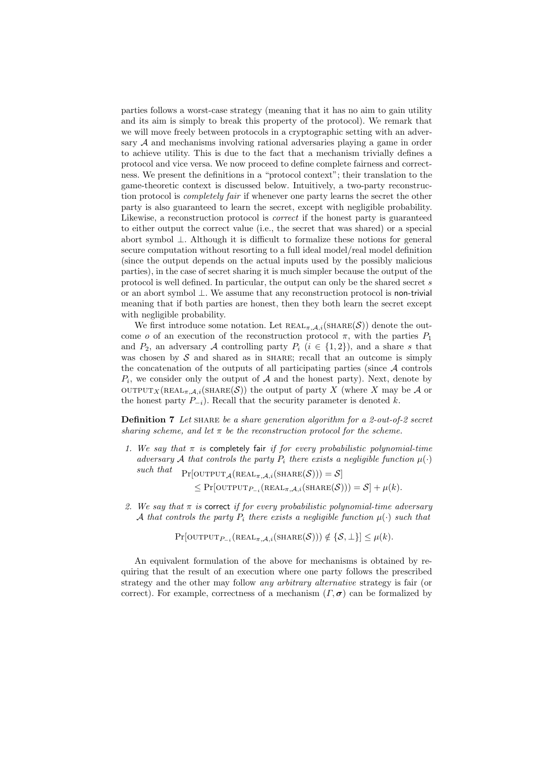parties follows a worst-case strategy (meaning that it has no aim to gain utility and its aim is simply to break this property of the protocol). We remark that we will move freely between protocols in a cryptographic setting with an adversary  $A$  and mechanisms involving rational adversaries playing a game in order to achieve utility. This is due to the fact that a mechanism trivially defines a protocol and vice versa. We now proceed to define complete fairness and correctness. We present the definitions in a "protocol context"; their translation to the game-theoretic context is discussed below. Intuitively, a two-party reconstruction protocol is *completely fair* if whenever one party learns the secret the other party is also guaranteed to learn the secret, except with negligible probability. Likewise, a reconstruction protocol is correct if the honest party is guaranteed to either output the correct value (i.e., the secret that was shared) or a special abort symbol ⊥. Although it is difficult to formalize these notions for general secure computation without resorting to a full ideal model/real model definition (since the output depends on the actual inputs used by the possibly malicious parties), in the case of secret sharing it is much simpler because the output of the protocol is well defined. In particular, the output can only be the shared secret s or an abort symbol ⊥. We assume that any reconstruction protocol is non-trivial meaning that if both parties are honest, then they both learn the secret except with negligible probability.

We first introduce some notation. Let  $REAL_{\pi,\mathcal{A},i}(\text{SHARE}(\mathcal{S}))$  denote the outcome o of an execution of the reconstruction protocol  $\pi$ , with the parties  $P_1$ and  $P_2$ , an adversary A controlling party  $P_i$   $(i \in \{1,2\})$ , and a share s that was chosen by  $\mathcal S$  and shared as in SHARE; recall that an outcome is simply the concatenation of the outputs of all participating parties (since A controls  $P_i$ , we consider only the output of  $A$  and the honest party). Next, denote by OUTPUT<sub>X</sub>(REAL<sub>π,A,i</sub>(SHARE(S)) the output of party X (where X may be A or the honest party  $P_{-i}$ ). Recall that the security parameter is denoted k.

**Definition 7** Let SHARE be a share generation algorithm for a 2-out-of-2 secret sharing scheme, and let  $\pi$  be the reconstruction protocol for the scheme.

1. We say that  $\pi$  is completely fair if for every probabilistic polynomial-time adversary A that controls the party P<sub>i</sub> there exists a negligible function  $\mu(\cdot)$ such that  $Pr[_{\text{OUTPUT}_{\mathcal{A}}}(REAL_{\pi,\mathcal{A},i}(SHARE(\mathcal{S})))]=\mathcal{S}]$ 

 $\leq \Pr[\text{output}_{P_{-i}}(\text{REAL}_{\pi,\mathcal{A},i}(\text{SHARE}(\mathcal{S}))) = \mathcal{S}] + \mu(k).$ 

2. We say that  $\pi$  is correct if for every probabilistic polynomial-time adversary A that controls the party  $P_i$  there exists a negligible function  $\mu(\cdot)$  such that

 $Pr[\text{output}_{P_{-i}}(\text{real}_{\pi,\mathcal{A},i}(\text{share}(\mathcal{S}))) \notin {\mathcal{S}}, \bot] \leq \mu(k).$ 

An equivalent formulation of the above for mechanisms is obtained by requiring that the result of an execution where one party follows the prescribed strategy and the other may follow *any arbitrary alternative* strategy is fair (or correct). For example, correctness of a mechanism  $(\Gamma, \sigma)$  can be formalized by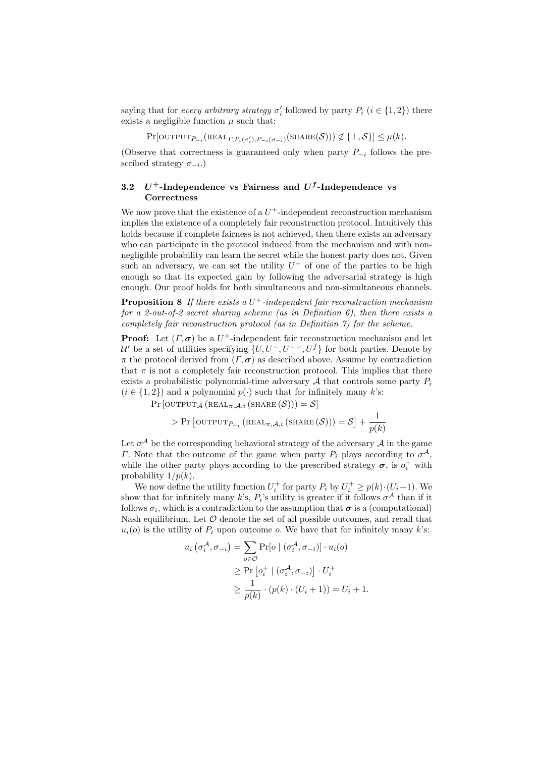saying that for every arbitrary strategy  $\sigma'_{i}$  followed by party  $P_{i}$  ( $i \in \{1,2\}$ ) there exists a negligible function  $\mu$  such that:

 $Pr[\text{output}_{P_{-i}}(\text{REAL}_{\Gamma,P_i(\sigma'_i),P_{-i}(\sigma_{-i})}(\text{SHARE}(\mathcal{S}))) \notin {\{\perp,\mathcal{S}\}}] \leq \mu(k).$ 

(Observe that correctness is guaranteed only when party  $P_{-i}$  follows the prescribed strategy  $\sigma_{-i}$ .)

#### 3.2  $U^+$ -Independence vs Fairness and  $U^f$ -Independence vs **Correctness**

We now prove that the existence of a  $U^+$ -independent reconstruction mechanism implies the existence of a completely fair reconstruction protocol. Intuitively this holds because if complete fairness is not achieved, then there exists an adversary who can participate in the protocol induced from the mechanism and with nonnegligible probability can learn the secret while the honest party does not. Given such an adversary, we can set the utility  $U^+$  of one of the parties to be high enough so that its expected gain by following the adversarial strategy is high enough. Our proof holds for both simultaneous and non-simultaneous channels.

**Proposition 8** If there exists a  $U^+$ -independent fair reconstruction mechanism for a 2-out-of-2 secret sharing scheme (as in Definition 6), then there exists a completely fair reconstruction protocol (as in Definition 7) for the scheme.

**Proof:** Let  $(\Gamma, \sigma)$  be a  $U^+$ -independent fair reconstruction mechanism and let U' be a set of utilities specifying  $\{U, U^-, U^{--}, U^f\}$  for both parties. Denote by  $\pi$  the protocol derived from  $(\Gamma, \sigma)$  as described above. Assume by contradiction that  $\pi$  is not a completely fair reconstruction protocol. This implies that there exists a probabilistic polynomial-time adversary  $A$  that controls some party  $P_i$  $(i \in \{1, 2\})$  and a polynomial  $p(\cdot)$  such that for infinitely many k's:

$$
\Pr\left[\text{OUTPUT}_{\mathcal{A}}\left(\text{REAL}_{\pi,\mathcal{A},i}\left(\text{SHARE}\left(\mathcal{S}\right)\right)\right) = \mathcal{S}\right]
$$
\n
$$
> \Pr\left[\text{OUTPUT}_{P_{-i}}\left(\text{REAL}_{\pi,\mathcal{A},i}\left(\text{SHARE}\left(\mathcal{S}\right)\right)\right) = \mathcal{S}\right] + \frac{1}{p(k)}
$$

Let  $\sigma^{\mathcal{A}}$  be the corresponding behavioral strategy of the adversary  $\mathcal{A}$  in the game *Γ*. Note that the outcome of the game when party  $P_i$  plays according to  $\sigma^{\mathcal{A}}$ , while the other party plays according to the prescribed strategy  $\sigma$ , is  $o_i^+$  with probability  $1/p(k)$ .

We now define the utility function  $U_i^+$  for party  $P_i$  by  $U_i^+ \geq p(k) \cdot (U_i + 1)$ . We show that for infinitely many k's,  $P_i$ 's utility is greater if it follows  $\sigma^{\mathcal{A}}$  than if it follows  $\sigma_i$ , which is a contradiction to the assumption that  $\sigma$  is a (computational) Nash equilibrium. Let  $\mathcal O$  denote the set of all possible outcomes, and recall that  $u_i(o)$  is the utility of  $P_i$  upon outcome o. We have that for infinitely many k's:

$$
u_i(\sigma_i^{\mathcal{A}}, \sigma_{-i}) = \sum_{o \in \mathcal{O}} \Pr[o \mid (\sigma_i^{\mathcal{A}}, \sigma_{-i})] \cdot u_i(o)
$$
  
\n
$$
\geq \Pr[v_i^+ \mid (\sigma_i^{\mathcal{A}}, \sigma_{-i})] \cdot U_i^+
$$
  
\n
$$
\geq \frac{1}{p(k)} \cdot (p(k) \cdot (U_i + 1)) = U_i + 1.
$$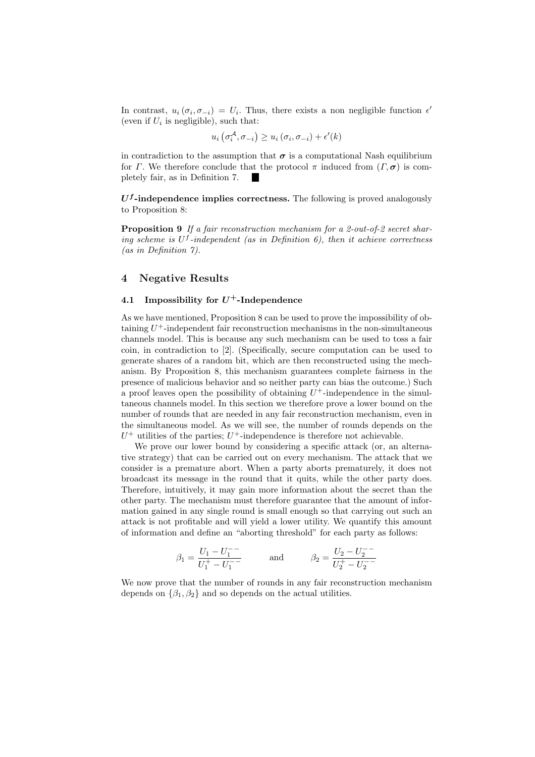In contrast,  $u_i(\sigma_i, \sigma_{-i}) = U_i$ . Thus, there exists a non negligible function  $\epsilon'$ (even if  $U_i$  is negligible), such that:

$$
u_i\left(\sigma_i^{\mathcal{A}}, \sigma_{-i}\right) \geq u_i\left(\sigma_i, \sigma_{-i}\right) + \epsilon'(k)
$$

in contradiction to the assumption that  $\sigma$  is a computational Nash equilibrium for Γ. We therefore conclude that the protocol  $\pi$  induced from  $(\Gamma, \sigma)$  is completely fair, as in Definition 7. **The Second Second** 

 $U<sup>f</sup>$ -independence implies correctness. The following is proved analogously to Proposition 8:

**Proposition 9** If a fair reconstruction mechanism for a 2-out-of-2 secret sharing scheme is  $U^f$ -independent (as in Definition 6), then it achieve correctness (as in Definition 7).

#### 4 Negative Results

#### 4.1 Impossibility for  $U^+$ -Independence

As we have mentioned, Proposition 8 can be used to prove the impossibility of obtaining  $U^+$ -independent fair reconstruction mechanisms in the non-simultaneous channels model. This is because any such mechanism can be used to toss a fair coin, in contradiction to [2]. (Specifically, secure computation can be used to generate shares of a random bit, which are then reconstructed using the mechanism. By Proposition 8, this mechanism guarantees complete fairness in the presence of malicious behavior and so neither party can bias the outcome.) Such a proof leaves open the possibility of obtaining  $U^+$ -independence in the simultaneous channels model. In this section we therefore prove a lower bound on the number of rounds that are needed in any fair reconstruction mechanism, even in the simultaneous model. As we will see, the number of rounds depends on the  $U^+$  utilities of the parties;  $U^+$ -independence is therefore not achievable.

We prove our lower bound by considering a specific attack (or, an alternative strategy) that can be carried out on every mechanism. The attack that we consider is a premature abort. When a party aborts prematurely, it does not broadcast its message in the round that it quits, while the other party does. Therefore, intuitively, it may gain more information about the secret than the other party. The mechanism must therefore guarantee that the amount of information gained in any single round is small enough so that carrying out such an attack is not profitable and will yield a lower utility. We quantify this amount of information and define an "aborting threshold" for each party as follows:

$$
\beta_1 = \frac{U_1-U_1^{--}}{U_1^+-U_1^{--}} \hspace{1cm}\text{and}\hspace{1cm}\beta_2 = \frac{U_2-U_2^{--}}{U_2^+-U_2^{--}}
$$

We now prove that the number of rounds in any fair reconstruction mechanism depends on  $\{\beta_1, \beta_2\}$  and so depends on the actual utilities.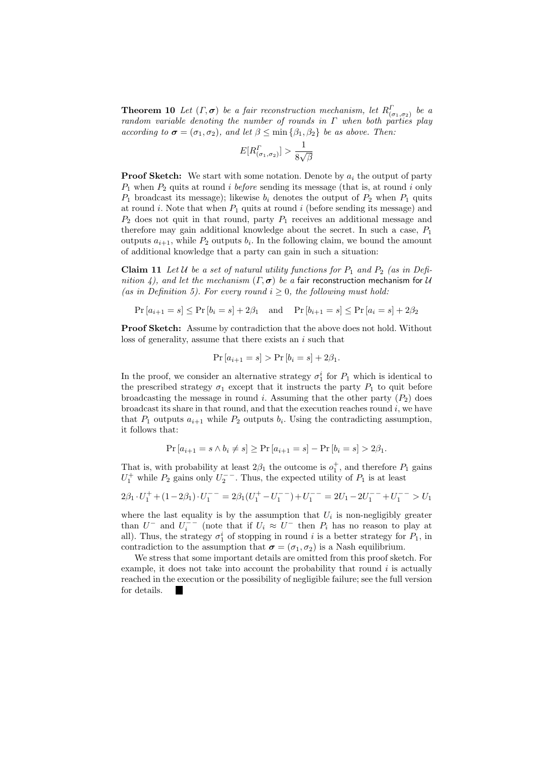**Theorem 10** Let  $(\Gamma, \sigma)$  be a fair reconstruction mechanism, let  $R^{\Gamma}_{(\sigma_1,\sigma_2)}$  be a random variable denoting the number of rounds in  $\Gamma$  when both parties play according to  $\sigma = (\sigma_1, \sigma_2)$ , and let  $\beta \le \min \{\beta_1, \beta_2\}$  be as above. Then:

$$
E[R^{\Gamma}_{(\sigma_1,\sigma_2)}] > \frac{1}{8\sqrt{\beta}}
$$

**Proof Sketch:** We start with some notation. Denote by  $a_i$  the output of party  $P_1$  when  $P_2$  quits at round *i* before sending its message (that is, at round *i* only  $P_1$  broadcast its message); likewise  $b_i$  denotes the output of  $P_2$  when  $P_1$  quits at round i. Note that when  $P_1$  quits at round i (before sending its message) and  $P_2$  does not quit in that round, party  $P_1$  receives an additional message and therefore may gain additional knowledge about the secret. In such a case,  $P_1$ outputs  $a_{i+1}$ , while  $P_2$  outputs  $b_i$ . In the following claim, we bound the amount of additional knowledge that a party can gain in such a situation:

**Claim 11** Let U be a set of natural utility functions for  $P_1$  and  $P_2$  (as in Definition 4), and let the mechanism  $(\Gamma, \sigma)$  be a fair reconstruction mechanism for U (as in Definition 5). For every round  $i \geq 0$ , the following must hold:

 $Pr [a_{i+1} = s] \le Pr [b_i = s] + 2\beta_1$  and  $Pr [b_{i+1} = s] \le Pr [a_i = s] + 2\beta_2$ 

Proof Sketch: Assume by contradiction that the above does not hold. Without loss of generality, assume that there exists an i such that

$$
Pr[a_{i+1} = s] > Pr[b_i = s] + 2\beta_1.
$$

In the proof, we consider an alternative strategy  $\sigma_1^i$  for  $P_1$  which is identical to the prescribed strategy  $\sigma_1$  except that it instructs the party  $P_1$  to quit before broadcasting the message in round i. Assuming that the other party  $(P_2)$  does broadcast its share in that round, and that the execution reaches round  $i$ , we have that  $P_1$  outputs  $a_{i+1}$  while  $P_2$  outputs  $b_i$ . Using the contradicting assumption, it follows that:

$$
\Pr\left[a_{i+1} = s \land b_i \neq s\right] \ge \Pr\left[a_{i+1} = s\right] - \Pr\left[b_i = s\right] > 2\beta_1.
$$

That is, with probability at least  $2\beta_1$  the outcome is  $o_1^+$ , and therefore  $P_1$  gains  $U_1^+$  while  $P_2$  gains only  $U_2^-$ . Thus, the expected utility of  $P_1$  is at least

$$
2\beta_1 \cdot U_1^+ + (1 - 2\beta_1) \cdot U_1^- = 2\beta_1 (U_1^+ - U_1^-) + U_1^- = 2U_1 - 2U_1^- + U_1^- > U_1
$$

where the last equality is by the assumption that  $U_i$  is non-negligibly greater than  $U^-$  and  $U_i^-$  (note that if  $U_i \approx U^-$  then  $P_i$  has no reason to play at all). Thus, the strategy  $\sigma_1^i$  of stopping in round i is a better strategy for  $P_1$ , in contradiction to the assumption that  $\sigma = (\sigma_1, \sigma_2)$  is a Nash equilibrium.

We stress that some important details are omitted from this proof sketch. For example, it does not take into account the probability that round  $i$  is actually reached in the execution or the possibility of negligible failure; see the full version for details.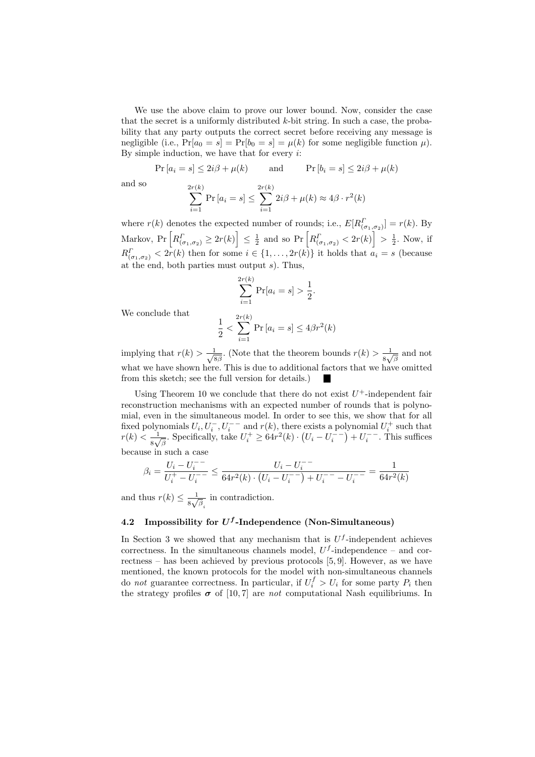We use the above claim to prove our lower bound. Now, consider the case that the secret is a uniformly distributed  $k$ -bit string. In such a case, the probability that any party outputs the correct secret before receiving any message is negligible (i.e.,  $Pr[a_0 = s] = Pr[b_0 = s] = \mu(k)$  for some negligible function  $\mu$ ). By simple induction, we have that for every  $i$ :

 $\Pr[a_i = s] \leq 2i\beta + \mu(k)$  and  $\Pr[b_i = s] \leq 2i\beta + \mu(k)$ 

and so

$$
\sum_{i=1}^{2r(k)} \Pr\left[a_i = s\right] \le \sum_{i=1}^{2r(k)} 2i\beta + \mu(k) \approx 4\beta \cdot r^2(k)
$$

where  $r(k)$  denotes the expected number of rounds; i.e.,  $E[R^{\Gamma}_{(\sigma_1,\sigma_2)}] = r(k)$ . By Markov, Pr  $\left[ R^{\Gamma}_{(\sigma_1,\sigma_2)} \geq 2r(k) \right]$ י<br>י  $\leq \frac{1}{2}$  and so Pr  $\left[ R^{\Gamma}_{(\sigma_1,\sigma_2)} < 2r(k) \right]$  $\frac{1}{1}$  $> \frac{1}{2}$ . Now, if  $R^{\Gamma}_{(\sigma_1,\sigma_2)} < 2r(k)$  then for some  $i \in \{1,\ldots,2r(k)\}$  it holds that  $a_i = s$  (because at the end, both parties must output s). Thus,

$$
\sum_{i=1}^{2r(k)} \Pr[a_i = s] > \frac{1}{2}.
$$
  

$$
2r(k)
$$

We conclude that

$$
\frac{1}{2} < \sum_{i=1}^{2r(k)} \Pr\left[a_i = s\right] \le 4\beta r^2(k)
$$

implying that  $r(k) > \frac{1}{\sqrt{k}}$  $\frac{1}{8\beta}$ . (Note that the theorem bounds  $r(k) > \frac{1}{8\sqrt{k}}$  $\frac{1}{8\sqrt{\beta}}$  and not what we have shown here. This is due to additional factors that we have omitted from this sketch; see the full version for details.)

Using Theorem 10 we conclude that there do not exist  $U^+$ -independent fair reconstruction mechanisms with an expected number of rounds that is polynomial, even in the simultaneous model. In order to see this, we show that for all fixed polynomials  $U_i, U_i^-, U_i^{--}$  and  $r(k)$ , there exists a polynomial  $U_i^+$  such that  $r(k) < \frac{1}{2}$  $\frac{1}{8\sqrt{\beta}}$ . Specifically, take  $U_i^+ \geq 64r^2(k)$ . ¡  $U_i - U_i^{--}$ ¢  $+ U_i^{--}$ . This suffices because in such a case

$$
\beta_i = \frac{U_i - U_i^{--}}{U_i^+ - U_i^-} \le \frac{U_i - U_i^{--}}{64r^2(k) \cdot (U_i - U_i^{--}) + U_i^{--} - U_i^{--}} = \frac{1}{64r^2(k)}
$$

and thus  $r(k) \leq \frac{1}{\sqrt{2}}$  $\frac{1}{8\sqrt{ }}$  $\beta_{i}$ in contradiction.

## 4.2 Impossibility for  $U^f$ -Independence (Non-Simultaneous)

In Section 3 we showed that any mechanism that is  $U^f$ -independent achieves correctness. In the simultaneous channels model,  $U<sup>f</sup>$ -independence – and correctness – has been achieved by previous protocols [5, 9]. However, as we have mentioned, the known protocols for the model with non-simultaneous channels do *not* guarantee correctness. In particular, if  $U_i^f > U_i$  for some party  $P_i$  then the strategy profiles  $\sigma$  of [10,7] are not computational Nash equilibriums. In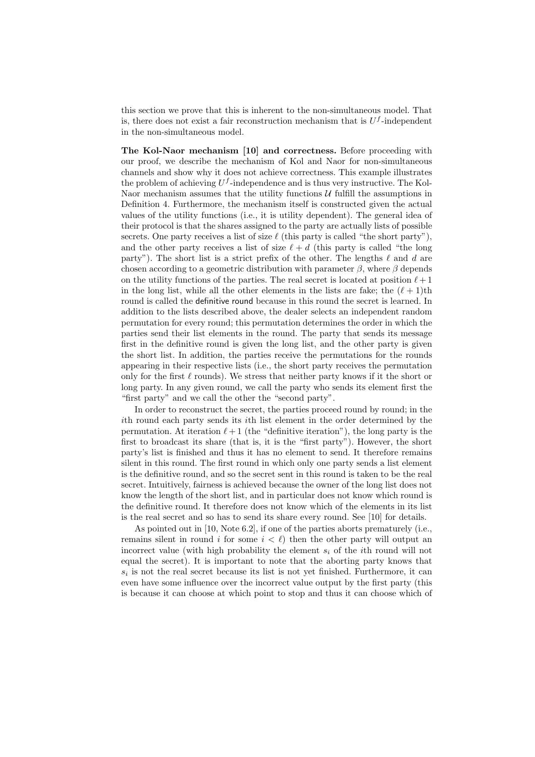this section we prove that this is inherent to the non-simultaneous model. That is, there does not exist a fair reconstruction mechanism that is  $U^f$ -independent in the non-simultaneous model.

The Kol-Naor mechanism [10] and correctness. Before proceeding with our proof, we describe the mechanism of Kol and Naor for non-simultaneous channels and show why it does not achieve correctness. This example illustrates the problem of achieving  $U^f$ -independence and is thus very instructive. The Kol-Naor mechanism assumes that the utility functions  $U$  fulfill the assumptions in Definition 4. Furthermore, the mechanism itself is constructed given the actual values of the utility functions (i.e., it is utility dependent). The general idea of their protocol is that the shares assigned to the party are actually lists of possible secrets. One party receives a list of size  $\ell$  (this party is called "the short party"), and the other party receives a list of size  $\ell + d$  (this party is called "the long party"). The short list is a strict prefix of the other. The lengths  $\ell$  and d are chosen according to a geometric distribution with parameter  $\beta$ , where  $\beta$  depends on the utility functions of the parties. The real secret is located at position  $\ell + 1$ in the long list, while all the other elements in the lists are fake; the  $(\ell + 1)$ th round is called the definitive round because in this round the secret is learned. In addition to the lists described above, the dealer selects an independent random permutation for every round; this permutation determines the order in which the parties send their list elements in the round. The party that sends its message first in the definitive round is given the long list, and the other party is given the short list. In addition, the parties receive the permutations for the rounds appearing in their respective lists (i.e., the short party receives the permutation only for the first  $\ell$  rounds). We stress that neither party knows if it the short or long party. In any given round, we call the party who sends its element first the "first party" and we call the other the "second party".

In order to reconstruct the secret, the parties proceed round by round; in the ith round each party sends its ith list element in the order determined by the permutation. At iteration  $\ell + 1$  (the "definitive iteration"), the long party is the first to broadcast its share (that is, it is the "first party"). However, the short party's list is finished and thus it has no element to send. It therefore remains silent in this round. The first round in which only one party sends a list element is the definitive round, and so the secret sent in this round is taken to be the real secret. Intuitively, fairness is achieved because the owner of the long list does not know the length of the short list, and in particular does not know which round is the definitive round. It therefore does not know which of the elements in its list is the real secret and so has to send its share every round. See [10] for details.

As pointed out in [10, Note 6.2], if one of the parties aborts prematurely (i.e., remains silent in round i for some  $i < \ell$ ) then the other party will output an incorrect value (with high probability the element  $s_i$  of the *i*th round will not equal the secret). It is important to note that the aborting party knows that  $s_i$  is not the real secret because its list is not yet finished. Furthermore, it can even have some influence over the incorrect value output by the first party (this is because it can choose at which point to stop and thus it can choose which of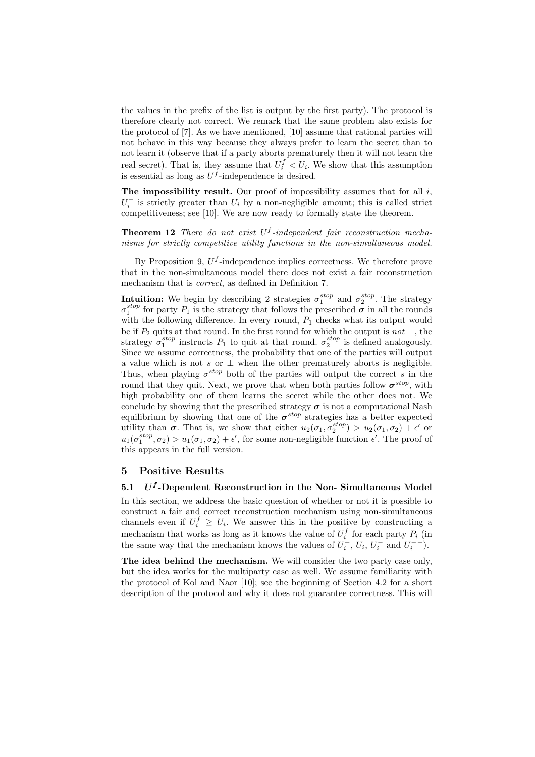the values in the prefix of the list is output by the first party). The protocol is therefore clearly not correct. We remark that the same problem also exists for the protocol of [7]. As we have mentioned, [10] assume that rational parties will not behave in this way because they always prefer to learn the secret than to not learn it (observe that if a party aborts prematurely then it will not learn the real secret). That is, they assume that  $U_i^f < U_i$ . We show that this assumption is essential as long as  $U^f$ -independence is desired.

The impossibility result. Our proof of impossibility assumes that for all  $i$ ,  $U_i^+$  is strictly greater than  $U_i$  by a non-negligible amount; this is called strict competitiveness; see [10]. We are now ready to formally state the theorem.

**Theorem 12** There do not exist  $U^f$ -independent fair reconstruction mechanisms for strictly competitive utility functions in the non-simultaneous model.

By Proposition 9,  $U^f$ -independence implies correctness. We therefore prove that in the non-simultaneous model there does not exist a fair reconstruction mechanism that is correct, as defined in Definition 7.

**Intuition:** We begin by describing 2 strategies  $\sigma_1^{stop}$  and  $\sigma_2^{stop}$ . The strategy  $\sigma_1^{stop}$  for party  $P_1$  is the strategy that follows the prescribed  $\sigma$  in all the rounds with the following difference. In every round,  $P_1$  checks what its output would be if  $P_2$  quits at that round. In the first round for which the output is not  $\perp$ , the strategy  $\sigma_1^{stop}$  instructs  $P_1$  to quit at that round.  $\sigma_2^{stop}$  is defined analogously. Since we assume correctness, the probability that one of the parties will output a value which is not s or  $\perp$  when the other prematurely aborts is negligible. Thus, when playing  $\sigma^{stop}$  both of the parties will output the correct s in the round that they quit. Next, we prove that when both parties follow  $\sigma^{stop}$ , with high probability one of them learns the secret while the other does not. We conclude by showing that the prescribed strategy  $\sigma$  is not a computational Nash equilibrium by showing that one of the  $\sigma^{stop}$  strategies has a better expected utility than  $\sigma$ . That is, we show that either  $u_2(\sigma_1, \sigma_2^{stop}) > u_2(\sigma_1, \sigma_2) + \epsilon'$  or  $u_1(\sigma_1^{stop}, \sigma_2) > u_1(\sigma_1, \sigma_2) + \epsilon'$ , for some non-negligible function  $\epsilon'$ . The proof of this appears in the full version.

#### 5 Positive Results

#### 5.1  $U<sup>f</sup>$ -Dependent Reconstruction in the Non-Simultaneous Model

In this section, we address the basic question of whether or not it is possible to construct a fair and correct reconstruction mechanism using non-simultaneous channels even if  $U_i^f \geq U_i$ . We answer this in the positive by constructing a mechanism that works as long as it knows the value of  $U_i^f$  for each party  $P_i$  (in the same way that the mechanism knows the values of  $U_i^+, U_i, U_i^-$  and  $U_i^{--}$ ).

The idea behind the mechanism. We will consider the two party case only, but the idea works for the multiparty case as well. We assume familiarity with the protocol of Kol and Naor [10]; see the beginning of Section 4.2 for a short description of the protocol and why it does not guarantee correctness. This will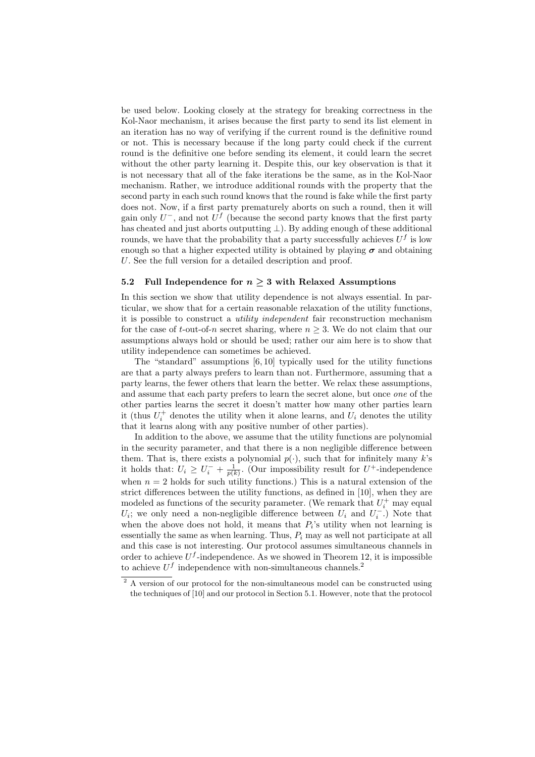be used below. Looking closely at the strategy for breaking correctness in the Kol-Naor mechanism, it arises because the first party to send its list element in an iteration has no way of verifying if the current round is the definitive round or not. This is necessary because if the long party could check if the current round is the definitive one before sending its element, it could learn the secret without the other party learning it. Despite this, our key observation is that it is not necessary that all of the fake iterations be the same, as in the Kol-Naor mechanism. Rather, we introduce additional rounds with the property that the second party in each such round knows that the round is fake while the first party does not. Now, if a first party prematurely aborts on such a round, then it will gain only  $U^-$ , and not  $U^f$  (because the second party knows that the first party has cheated and just aborts outputting  $\perp$ ). By adding enough of these additional rounds, we have that the probability that a party successfully achieves  $U^f$  is low enough so that a higher expected utility is obtained by playing  $\sigma$  and obtaining U. See the full version for a detailed description and proof.

#### 5.2 Full Independence for  $n \geq 3$  with Relaxed Assumptions

In this section we show that utility dependence is not always essential. In particular, we show that for a certain reasonable relaxation of the utility functions, it is possible to construct a utility independent fair reconstruction mechanism for the case of t-out-of-n secret sharing, where  $n \geq 3$ . We do not claim that our assumptions always hold or should be used; rather our aim here is to show that utility independence can sometimes be achieved.

The "standard" assumptions [6, 10] typically used for the utility functions are that a party always prefers to learn than not. Furthermore, assuming that a party learns, the fewer others that learn the better. We relax these assumptions, and assume that each party prefers to learn the secret alone, but once one of the other parties learns the secret it doesn't matter how many other parties learn it (thus  $U_i^+$  denotes the utility when it alone learns, and  $U_i$  denotes the utility that it learns along with any positive number of other parties).

In addition to the above, we assume that the utility functions are polynomial in the security parameter, and that there is a non negligible difference between them. That is, there exists a polynomial  $p(\cdot)$ , such that for infinitely many k's it holds that:  $U_i \geq U_i^- + \frac{1}{p(k)}$ . (Our impossibility result for  $U^+$ -independence when  $n = 2$  holds for such utility functions.) This is a natural extension of the strict differences between the utility functions, as defined in [10], when they are modeled as functions of the security parameter. (We remark that  $U_i^+$  may equal  $U_i$ ; we only need a non-negligible difference between  $U_i$  and  $U_i^{-}$ .) Note that when the above does not hold, it means that  $P_i$ 's utility when not learning is essentially the same as when learning. Thus,  $P_i$  may as well not participate at all and this case is not interesting. Our protocol assumes simultaneous channels in order to achieve  $U^f$ -independence. As we showed in Theorem 12, it is impossible to achieve  $U^f$  independence with non-simultaneous channels.<sup>2</sup>

<sup>&</sup>lt;sup>2</sup> A version of our protocol for the non-simultaneous model can be constructed using the techniques of [10] and our protocol in Section 5.1. However, note that the protocol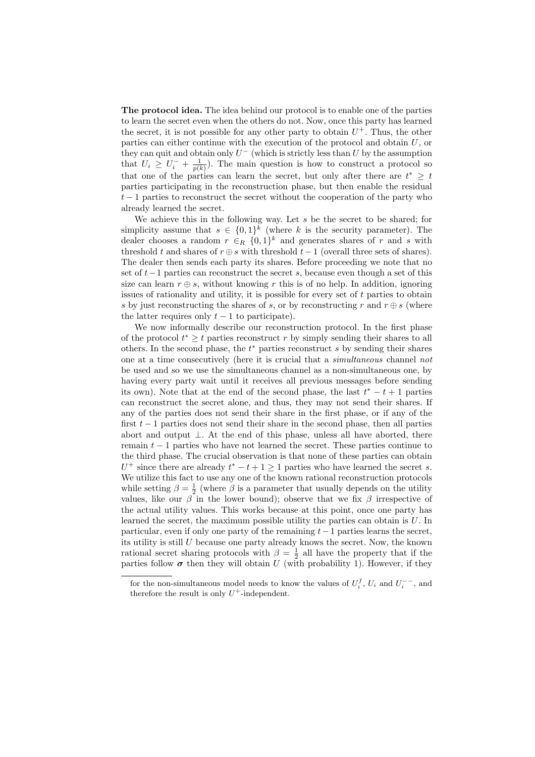The protocol idea. The idea behind our protocol is to enable one of the parties to learn the secret even when the others do not. Now, once this party has learned the secret, it is not possible for any other party to obtain  $U^+$ . Thus, the other parties can either continue with the execution of the protocol and obtain U, or they can quit and obtain only  $U^-$  (which is strictly less than U by the assumption that  $U_i \geq U_i^- + \frac{1}{p(k)}$ . The main question is how to construct a protocol so that one of the parties can learn the secret, but only after there are  $t^* \geq t$ parties participating in the reconstruction phase, but then enable the residual  $t-1$  parties to reconstruct the secret without the cooperation of the party who already learned the secret.

We achieve this in the following way. Let  $s$  be the secret to be shared; for simplicity assume that  $s \in \{0,1\}^k$  (where k is the security parameter). The dealer chooses a random  $r \in_R \{0,1\}^k$  and generates shares of r and s with threshold t and shares of  $r \oplus s$  with threshold  $t-1$  (overall three sets of shares). The dealer then sends each party its shares. Before proceeding we note that no set of  $t-1$  parties can reconstruct the secret s, because even though a set of this size can learn  $r \oplus s$ , without knowing r this is of no help. In addition, ignoring issues of rationality and utility, it is possible for every set of  $t$  parties to obtain s by just reconstructing the shares of s, or by reconstructing r and  $r \oplus s$  (where the latter requires only  $t - 1$  to participate).

We now informally describe our reconstruction protocol. In the first phase of the protocol  $t^* \geq t$  parties reconstruct r by simply sending their shares to all others. In the second phase, the  $t^*$  parties reconstruct  $s$  by sending their shares one at a time consecutively (here it is crucial that a simultaneous channel not be used and so we use the simultaneous channel as a non-simultaneous one, by having every party wait until it receives all previous messages before sending its own). Note that at the end of the second phase, the last  $t^* - t + 1$  parties can reconstruct the secret alone, and thus, they may not send their shares. If any of the parties does not send their share in the first phase, or if any of the first  $t-1$  parties does not send their share in the second phase, then all parties abort and output ⊥. At the end of this phase, unless all have aborted, there remain  $t - 1$  parties who have not learned the secret. These parties continue to the third phase. The crucial observation is that none of these parties can obtain  $U^+$  since there are already  $t^* - t + 1 \geq 1$  parties who have learned the secret s. We utilize this fact to use any one of the known rational reconstruction protocols while setting  $\beta = \frac{1}{2}$  (where  $\beta$  is a parameter that usually depends on the utility values, like our  $\beta$  in the lower bound); observe that we fix  $\beta$  irrespective of the actual utility values. This works because at this point, once one party has learned the secret, the maximum possible utility the parties can obtain is U. In particular, even if only one party of the remaining  $t-1$  parties learns the secret, its utility is still  $U$  because one party already knows the secret. Now, the known rational secret sharing protocols with  $\beta = \frac{1}{2}$  all have the property that if the parties follow  $\sigma$  then they will obtain U (with probability 1). However, if they

for the non-simultaneous model needs to know the values of  $U_i^f$ ,  $U_i$  and  $U_i^{--}$ , and therefore the result is only  $U^+$ -independent.